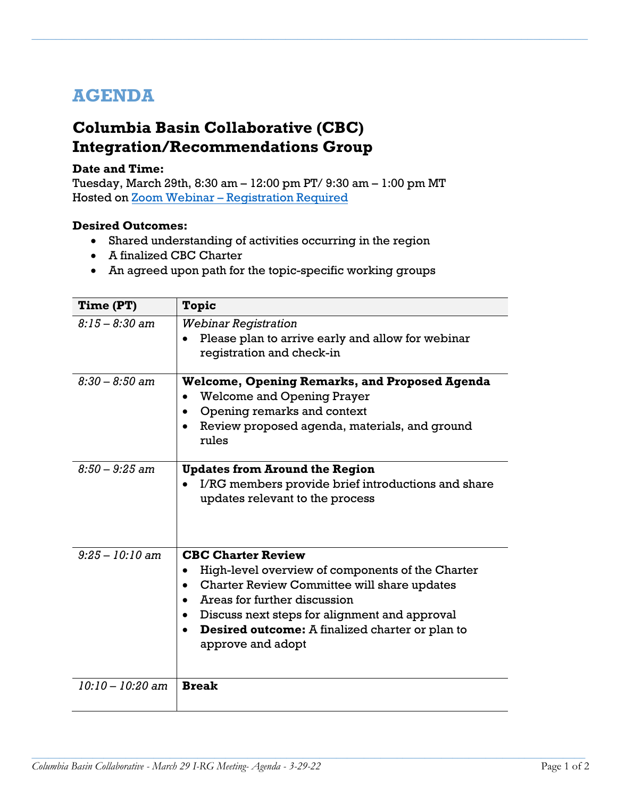## **AGENDA**

## **Columbia Basin Collaborative (CBC) Integration/Recommendations Group**

## **Date and Time:**

Tuesday, March 29th, 8:30 am – 12:00 pm PT/ 9:30 am – 1:00 pm MT Hosted on Zoom Webinar – [Registration Required](https://kearnswest.zoom.us/webinar/register/WN_iJAUUYsaQ22Fg4UbFwofRg)

*\_\_\_\_\_\_\_\_\_\_\_\_\_\_\_\_\_\_\_\_\_\_\_\_\_\_\_\_\_\_\_\_\_\_\_\_\_\_\_\_\_\_\_\_\_\_\_\_\_\_\_\_\_\_\_\_\_\_\_\_\_\_\_\_\_\_\_\_\_\_\_\_\_\_\_\_\_\_\_\_\_\_\_\_\_\_\_\_\_\_\_\_*

## **Desired Outcomes:**

- Shared understanding of activities occurring in the region
- A finalized CBC Charter
- An agreed upon path for the topic-specific working groups

| Time (PT)          | Topic                                                                                                                                                                                                                                                                                                                                            |
|--------------------|--------------------------------------------------------------------------------------------------------------------------------------------------------------------------------------------------------------------------------------------------------------------------------------------------------------------------------------------------|
| $8:15 - 8:30$ am   | <b>Webinar Registration</b><br>Please plan to arrive early and allow for webinar<br>registration and check-in                                                                                                                                                                                                                                    |
| $8:30 - 8:50$ am   | <b>Welcome, Opening Remarks, and Proposed Agenda</b><br><b>Welcome and Opening Prayer</b><br>Opening remarks and context<br>Review proposed agenda, materials, and ground<br>$\bullet$<br>rules                                                                                                                                                  |
| $8:50 - 9:25$ am   | <b>Updates from Around the Region</b><br>I/RG members provide brief introductions and share<br>$\bullet$<br>updates relevant to the process                                                                                                                                                                                                      |
| $9:25 - 10:10$ am  | <b>CBC Charter Review</b><br>High-level overview of components of the Charter<br>$\bullet$<br>Charter Review Committee will share updates<br>$\bullet$<br>Areas for further discussion<br>Discuss next steps for alignment and approval<br>$\bullet$<br><b>Desired outcome:</b> A finalized charter or plan to<br>$\bullet$<br>approve and adopt |
| $10:10 - 10:20$ am | <b>Break</b>                                                                                                                                                                                                                                                                                                                                     |

*\_\_\_\_\_\_\_\_\_\_\_\_\_\_\_\_\_\_\_\_\_\_\_\_\_\_\_\_\_\_\_\_\_\_\_\_\_\_\_\_\_\_\_\_\_\_\_\_\_\_\_\_\_\_\_\_\_\_\_\_\_\_\_\_\_\_\_\_\_\_\_\_\_\_\_\_\_\_\_\_\_\_\_\_\_\_\_\_\_\_\_\_\_\_\_\_\_\_\_\_*